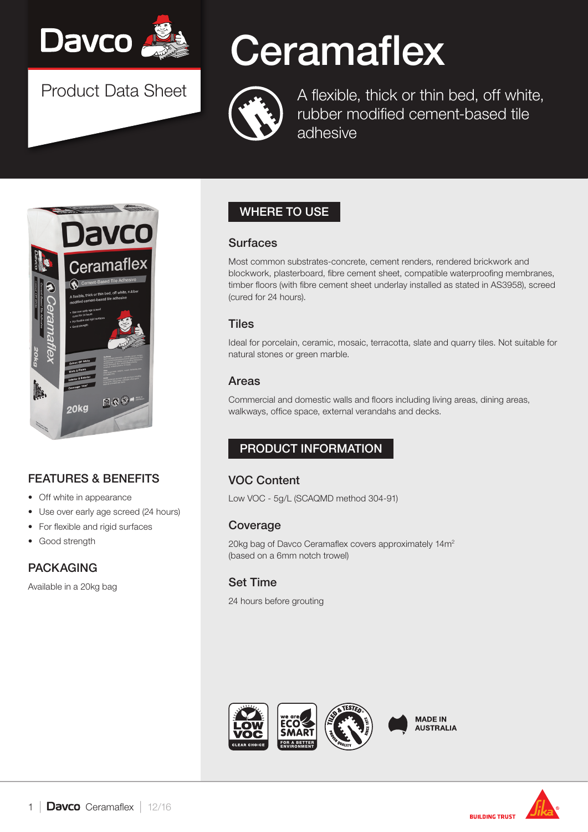

Product Data Sheet

# **Ceramaflex**



A flexible, thick or thin bed, off white, rubber modified cement-based tile adhesive



## FEATURES & BENEFITS

- Off white in appearance
- Use over early age screed (24 hours)
- For flexible and rigid surfaces
- Good strength

## PACKAGING

Available in a 20kg bag

## WHERE TO USE

#### **Surfaces**

Most common substrates-concrete, cement renders, rendered brickwork and blockwork, plasterboard, fibre cement sheet, compatible waterproofing membranes, timber floors (with fibre cement sheet underlay installed as stated in AS3958), screed (cured for 24 hours).

#### **Tiles**

Ideal for porcelain, ceramic, mosaic, terracotta, slate and quarry tiles. Not suitable for natural stones or green marble.

#### Areas

Commercial and domestic walls and floors including living areas, dining areas, walkways, office space, external verandahs and decks.

## PRODUCT INFORMATION

## VOC Content

Low VOC - 5g/L (SCAQMD method 304-91)

### Coverage

20kg bag of Davco Ceramaflex covers approximately 14m2 (based on a 6mm notch trowel)

## Set Time

24 hours before grouting





**BUILDING TRUST**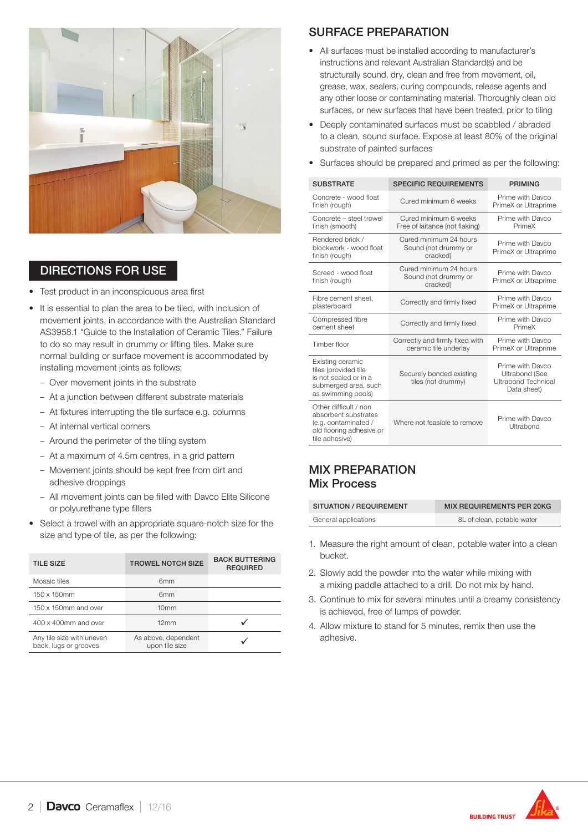

## DIRECTIONS FOR USE

- Test product in an inconspicuous area first
- It is essential to plan the area to be tiled, with inclusion of movement joints, in accordance with the Australian Standard AS3958.1 "Guide to the Installation of Ceramic Tiles." Failure to do so may result in drummy or lifting tiles. Make sure normal building or surface movement is accommodated by installing movement joints as follows:
	- Over movement joints in the substrate
	- At a junction between different substrate materials
	- At fixtures interrupting the tile surface e.g. columns
	- At internal vertical corners
	- Around the perimeter of the tiling system
	- At a maximum of 4.5m centres, in a grid pattern
	- Movement joints should be kept free from dirt and adhesive droppings
	- All movement joints can be filled with Davco Elite Silicone or polyurethane type fillers
- Select a trowel with an appropriate square-notch size for the size and type of tile, as per the following:

| <b>TILE SIZE</b>                                   | <b>TROWEL NOTCH SIZE</b>              | <b>BACK BUTTERING</b><br><b>REQUIRED</b> |
|----------------------------------------------------|---------------------------------------|------------------------------------------|
| Mosaic tiles                                       | 6 <sub>mm</sub>                       |                                          |
| 150 x 150mm                                        | 6 <sub>mm</sub>                       |                                          |
| 150 x 150mm and over                               | 10 <sub>mm</sub>                      |                                          |
| 400 x 400mm and over                               | 12mm                                  |                                          |
| Any tile size with uneven<br>back, lugs or grooves | As above, dependent<br>upon tile size |                                          |

#### SURFACE PREPARATION

- All surfaces must be installed according to manufacturer's instructions and relevant Australian Standard(s) and be structurally sound, dry, clean and free from movement, oil, grease, wax, sealers, curing compounds, release agents and any other loose or contaminating material. Thoroughly clean old surfaces, or new surfaces that have been treated, prior to tiling
- Deeply contaminated surfaces must be scabbled / abraded to a clean, sound surface. Expose at least 80% of the original substrate of painted surfaces
- Surfaces should be prepared and primed as per the following:

| <b>SUBSTRATE</b>                                                                                                    | <b>SPECIFIC REQUIREMENTS</b>                               | <b>PRIMING</b>                                                           |
|---------------------------------------------------------------------------------------------------------------------|------------------------------------------------------------|--------------------------------------------------------------------------|
| Concrete - wood float<br>finish (rough)                                                                             | Cured minimum 6 weeks                                      | Prime with Davco<br>PrimeX or Ultraprime                                 |
| Concrete - steel trowel<br>finish (smooth)                                                                          | Cured minimum 6 weeks<br>Free of laitance (not flaking)    | Prime with Davco<br>PrimeX                                               |
| Rendered brick /<br>blockwork - wood float<br>finish (rough)                                                        | Cured minimum 24 hours<br>Sound (not drummy or<br>cracked) | Prime with Davco<br>PrimeX or Ultraprime                                 |
| Screed - wood float<br>finish (rough)                                                                               | Cured minimum 24 hours<br>Sound (not drummy or<br>cracked) | Prime with Davco<br>PrimeX or Ultraprime                                 |
| Fibre cement sheet.<br>plasterboard                                                                                 | Correctly and firmly fixed                                 | Prime with Davco<br>PrimeX or Ultraprime                                 |
| Compressed fibre<br>cement sheet                                                                                    | Correctly and firmly fixed                                 | Prime with Davco<br>PrimeX                                               |
| Timber floor                                                                                                        | Correctly and firmly fixed with<br>ceramic tile underlay   | Prime with Davco<br>PrimeX or Ultraprime                                 |
| Existing ceramic<br>tiles (provided tile<br>is not sealed or in a<br>submerged area, such<br>as swimming pools)     | Securely bonded existing<br>tiles (not drummy)             | Prime with Davco<br>Ultrabond (See<br>Ultrabond Technical<br>Data sheet) |
| Other difficult / non<br>absorbent substrates<br>(e.g. contaminated /<br>old flooring adhesive or<br>tile adhesive) | Where not feasible to remove                               | Prime with Davco<br>Ultrabond                                            |

#### MIX PREPARATION Mix Process

| SITUATION / REQUIREMENT | <b>MIX REQUIREMENTS PER 20KG</b> |
|-------------------------|----------------------------------|
| General applications    | 8L of clean, potable water       |

- 1. Measure the right amount of clean, potable water into a clean bucket.
- 2. Slowly add the powder into the water while mixing with a mixing paddle attached to a drill. Do not mix by hand.
- 3. Continue to mix for several minutes until a creamy consistency is achieved, free of lumps of powder.
- 4. Allow mixture to stand for 5 minutes, remix then use the adhesive.